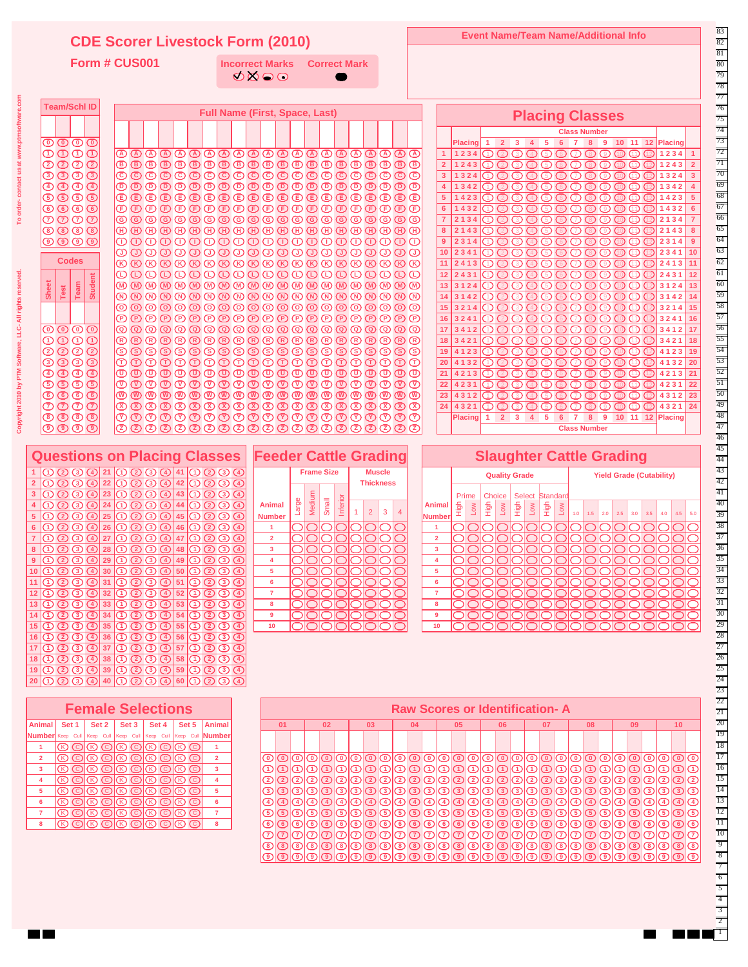## **CDE Scorer Livestock Form (2010)**

**Form # CUS001**

**Team/Schl ID**

**7 7 7 7 8 8 8 8 9 9 9 9**

**5 6 5 6 5 6**

**5 6**

**Copyright 2010 by PTM Software, LLC- All rights reserved. To order- contact us at www.ptmsoftware.com**

Copyright 2010 by PTM Software, LLC- All rights reserved.

contact us at www.ptn

order- $\overline{5}$ 

**A**

**A**

**A**

**A**

**A**

**E F G H** **E F G H** **E F G H** **E F G H** **E F G H** **E F G H**

**E F G H**

**E F G H**

**E F G H**

**E F G H**

| Incorrect Marks Correct Mark |                               |
|------------------------------|-------------------------------|
| $\circ \circ \circ$          | <b>The Contract of Street</b> |

**Full Name (First, Space, Last)**

**B**) **(B) (B) (B) (B) (B) (B) (B) (B) (B) (B) (B) (B) (B) (B) (B) (B) (B) (B) (B) (B) (B) (B) (B) (B) (B) (B) (B) (B) (B) (B) (B) (B) (B) (B) (B) (B) C C C C C C C C C C C C C C C C C C C C C**

> **E F G H**

**E F G H** **E F G H**

**0 0 0 0 1 1 1 1**

**4 4 4 4 5 5 5 5**

**6 7** **6 7** **6 7**

**6 7**

**6 7**

**8 8 8 8 8 8 8 8 8 8 8 8 8 9 9 9 9 9 9 9 9 9 9 9 9 9**

**6 7** **6 7** **6 7** **6 7** **6 7** **6 7** **6 7**

**2 3**

**6 7** **E F G H** **E F G H** **E F G H** **E F G H** **E F G H** **E F G H** **A**

**A**

**1 2 3 4**

**3 4 1 2 3 4 2 1**

**4 2 1 3**

**E F G H**

**E F G H**

**Animal Number**  ے<br>그

Low

 $Prime$  Choice ے<br>그 Low High

**A A A A A A A A A A A A A A**

**I I I I I I I I I I I I I I I I I I I I I**

**Event Name/Team Name/Additional Info**

**Placing Classes**

**Placing Placing Class Number**

**Placing 1 2 3 4 5 6 7 8 9 10 11 12 Placing Class Number**

**Slaughter Cattle Grading**

**Quality Grade Yield Grade (Cutability)**

 $1.5$  2.0 2.5

1.0 1.5 2.0 2.5 3.0 3.5 4.0 4.5 5.0

**1 2 3 4 5 6 7 8 9 10 11 12**

| 83<br>$\overline{82}$ |  |
|-----------------------|--|
| $\overline{81}$       |  |
| 80                    |  |
| 79                    |  |
| 78                    |  |
| 77                    |  |
| $\overline{76}$       |  |
| 75                    |  |
| 74                    |  |
| $\overline{73}$       |  |
| $\overline{72}$       |  |
| 71<br>70              |  |
| 69                    |  |
| $\overline{68}$       |  |
| 67                    |  |
| 66                    |  |
| $\overline{65}$       |  |
| $\overline{64}$       |  |
| $\overline{63}$       |  |
| $\overline{62}$       |  |
| $\overline{61}$       |  |
| $\overline{60}$       |  |
| 59                    |  |
| $\overline{58}$       |  |
| 57                    |  |
| 56                    |  |
| 55                    |  |
| $\overline{54}$       |  |
| 53<br>$\overline{52}$ |  |
| $\overline{51}$       |  |
| 50                    |  |
| 49                    |  |
| 48                    |  |
| 47                    |  |
| 46                    |  |
| 45                    |  |
| 44                    |  |
| 43                    |  |
| $\overline{42}$       |  |
| $\overline{41}$       |  |
| 40                    |  |
| 39<br>$\overline{38}$ |  |
| 37                    |  |
| $\overline{36}$       |  |
|                       |  |
| $\overline{34}$       |  |
| 33                    |  |
| 32                    |  |
| 31                    |  |
| 30                    |  |
| ţ<br>$\overline{29}$  |  |
| $\overline{28}$       |  |
| 27                    |  |

**2 3 4 1 2 3 1 4**

**2 4 3 1 2 4 1 3**

**4 2 3 1**

|                |                                     |                    | <b>Codes</b>   |                             |          | [J]<br>O) | (J)<br>$(\overline{K})$ | ้งว<br>OK)    | ( J )<br>(K)                      | J)<br>(K)      | J)<br>(K)  | J)<br>(K)          | ้มา<br>(K)       | (J)<br>(K)         | (J)<br>(K) | U)<br>(K)                    | (J)<br>$(\mathsf{K})$     | U)<br>(K) | ( J )<br>(K)      | $\left( \mathsf{J}\right)$<br>$(\mathsf{K})$ | ังว<br>(K) | (J)<br>(K)     | (J)<br>(K)                     | J)<br>ത          | (J)<br>$\mathcal{R}$ | Ū<br>Œ                |
|----------------|-------------------------------------|--------------------|----------------|-----------------------------|----------|-----------|-------------------------|---------------|-----------------------------------|----------------|------------|--------------------|------------------|--------------------|------------|------------------------------|---------------------------|-----------|-------------------|----------------------------------------------|------------|----------------|--------------------------------|------------------|----------------------|-----------------------|
|                |                                     |                    |                |                             |          | ⊕         | $\circ$                 | (T)           | Œ                                 | ⊕              | Œ          | ⊕                  | Œ                | ⊕                  | ⊕          | ⊕                            | ⊕                         | ⊕         | (T                | $\circ$                                      | Œ          | ⊕              | ⊕                              | ⊕                | ⊕                    | Œ                     |
|                |                                     |                    |                |                             |          | (M)       | (m)                     | (M)           | መ                                 | $(\mathbb{M})$ | (M)        | (M)                | $(\mathbb{M})$   | (M)                | መ          | (M)                          | (M)                       | (M)       | (M)               | (M)                                          | (M)        | (M)            | (M)                            | (M)              | (M)                  | $\overline{M}$        |
|                | <b>Sheet</b>                        | Test               | Team           | <b>Student</b>              |          | (M)       | $(\overline{N})$        | (N)           | (N)                               | (N)            | (M)        | (N)                | $(\overline{N})$ | (N)                | (M)        | (N)                          | $(\overline{\mathsf{N}})$ | (N)       | (M)               | $\circledR$                                  | (M)        | $(\mathbb{N})$ | (M)                            | (N)              | $(\overline{N})$     | (N                    |
|                |                                     |                    |                |                             |          | ത         | (0)                     | (0)           | (O)                               | (0)            | (၀)        | (0)                | (0)              | (၀)                | (0)        | (0)                          | ത                         | (0)       | (၀)               | (0)                                          | (၀)        | (0)            | രാ                             | (0)              | ത                    | তে                    |
|                |                                     |                    |                |                             |          | (P)       |                         | P.            |                                   |                |            |                    |                  | P                  |            | P                            | (P)                       | P         |                   | (P                                           |            | (F             |                                | (P)              | (P)                  | P                     |
|                | ത                                   | $\circledcirc$     |                | $\odot$                     |          | @         | (Q)                     | Q)            | (Q)                               | Q)             | Q          | 0                  | Q                | (Q)                | 0)         | 0                            | (၀)                       | Q.        | (Q)               | 0)                                           | Q          | o              | O)                             | @                | ര                    | σ                     |
|                | ➀                                   | $\odot$            | ➀              | ➀                           |          | ®         | (R)                     | R)            |                                   | (R)            | R)         | (R)                | (R)              | (R)                | R)         | (R)                          | (R)                       | R)        | (R)               | (R)                                          | R.         | (R)            | R)                             | (R)              | (R)                  | (R                    |
|                | ②                                   | $\circled{2}$      | $\circled{2}$  | $\circled{2}$               |          | ை         | (S)                     | (S)           | (S)                               | (S)            | (S)        | ග                  | (S)              | ග                  | ග          | (S)                          | (S)                       | ි ව       | ග                 | (S)                                          | (S)        | (S)            | ි ව                            | ග                | ઊ                    | (s                    |
|                | ③                                   | $\circled{3}$      | $\circled{3}$  | $\circled{3}$               |          | Œ         | (T)                     | T)            | (T)                               | (T)            | (T)        | (T)                | (T)              | (T)                | (T)        | (T)                          | Œ)                        | (T)       | (T)               | (T)                                          | (T)        | O              | (T)                            | (T)              | (T)                  | Œ                     |
|                | ④                                   | $\circled{4}$      | $\circled{4}$  | ④                           |          | ത         | $\circled$              | ത             | ത                                 | ത              | ത          | ത                  | ത                | ത                  | ത          | ത                            | ത                         | ത         | ത                 | ത                                            | መ          | ത              | ത                              | ത                | ത                    | መ                     |
|                | ෛ                                   | (5)                | $\circled$     | ග                           |          | ത         | $\circled{v}$           | ∞             | $(\nabla)$                        | ൜              | $(\nabla)$ | ത                  | ൜                | ത                  | ത          | ത                            | $\infty$                  | ത         | ത                 | $\circled{v}$                                | ത          | $\circledR$    | $\mathbf \overline{\mathbf v}$ | ത                | $\circled{v}$        | ⊽                     |
|                | ര                                   | ര                  | ⊙              | $\circledcirc$              |          | ∞         | (W)                     | (W)           | (W)                               | (W)            | (W)        | (W)                | (W)              | (W)                | (W)        | (W)                          | (W)                       | (W)       | (W)               | (W)                                          | (W)        | (W)            | (W)                            | (W)              | $\mathcal{L}$        | $\overline{w}$        |
|                | O                                   | (7)                | ⑦              | ⑦                           |          | Œ)        | (x)                     | (X)           |                                   | (X)            | ( X )      | (X)                | (X)              | (X)                | (X)        | (X)                          | (X)                       | (X)       | (X)               | Œ                                            | Œ          | (X)            | (X)                            | (X)              | $\alpha$             | $\alpha$              |
|                | ඖ                                   | ⑧                  | ⑧              | $\circledS$                 |          | ∞         | (Y)                     | Y.            |                                   | Y.             |            | Y.                 |                  | Y.                 | CY.        | Y.                           | (Y)                       | Y.        | (Y)               | Œ                                            | Y.         | œ              | ∞                              | ന                | $\infty$             | $\overline{\Upsilon}$ |
|                | ⊚                                   | $\circ$            | ⊚              | ඉ                           |          | (Z)       |                         |               |                                   |                |            | (Z)                | (Z)              | (Z)                | (Z)        | (Z)                          | (Z)                       | (Z)       | Œ.                | (Z)                                          | (Z)        | (Z)            | (Z)                            | (Z)              | (2)                  | Œ                     |
|                |                                     |                    |                |                             |          |           |                         |               |                                   |                |            |                    |                  |                    |            |                              |                           |           |                   |                                              |            |                |                                |                  |                      |                       |
|                |                                     |                    |                |                             |          |           |                         |               |                                   |                |            |                    |                  |                    |            | <b>Feeder Cattle Grading</b> |                           |           |                   |                                              |            |                |                                |                  |                      |                       |
|                |                                     |                    |                |                             |          |           |                         |               |                                   |                |            |                    |                  |                    |            |                              |                           |           |                   |                                              |            |                |                                |                  |                      |                       |
|                | <b>Questions on Placing Classes</b> |                    |                |                             |          |           |                         |               |                                   |                |            |                    |                  |                    |            |                              |                           |           |                   |                                              |            |                |                                |                  |                      |                       |
| 1              | 0                                   |                    | 3)             | (4)                         | 21       | 0         | 2)                      | 3             | $\left( 4\right)$                 | 41             | ന          | (2)                | 3)               | (4)                |            |                              |                           |           | <b>Frame Size</b> |                                              |            |                | <b>Muscle</b>                  |                  |                      |                       |
| $\overline{2}$ | ന                                   | (2)                | (3)            | $\left( 4\right)$           | 22       | ന         | (2)                     | (3)           | $\left( 4\right)$                 | 42             | ന          | (2)                | 3                | (4)                |            |                              |                           |           |                   |                                              |            |                |                                | <b>Thickness</b> |                      |                       |
| 3              | $\left( 1 \right)$                  | (2)                | (3)            | G)                          | 23       | (1)       | $\circ$                 | $\circ$       | ④                                 | 43             | ന          | $\circ$            | $\circ$          | G)                 |            |                              |                           |           |                   |                                              |            |                |                                |                  |                      |                       |
| 4              | (1)                                 | (2)                | 3)             | $\left(\overline{4}\right)$ | 24       | ന         | 2                       | ③             | $\circ$                           | 44             | ന          | 2                  | $\circ$          | $\circ$            |            | Animal                       |                           |           |                   |                                              |            |                |                                |                  |                      |                       |
| 5              | D                                   | $\circ$            | 3              | G)                          | 25       | ന         | $\circled{2}$           | $\circ$       | Œ                                 | 45             | ➀          | $\circled{2}$      | 3                | G)                 |            | <b>Number</b>                |                           | Large     | Medium            | Small                                        | Inferior   | 1              | $\overline{2}$                 | 3                | 4                    |                       |
| 6              | ന                                   | (2)                | 3              | $\circ$                     | 26       | ന         | $\circ$                 | <b>③</b>      | $\circ$                           | 46             | ➀          | $\circ$            | $\circled{3}$    | $\left( 4\right)$  |            | 1                            |                           |           |                   |                                              |            |                |                                |                  |                      |                       |
| 7              | D                                   | $\circ$            | $\circ$        | ④                           | 27       | ➀         | $\circ$                 | ③             | ④                                 | 47             | ➀          | $\circ$            | $\circ$          | $\circ$            |            | $\overline{\mathbf{2}}$      |                           |           |                   |                                              |            |                |                                |                  |                      |                       |
| 8              | ന                                   | $\circ$            | ③              | $\circled{4}$               | 28       | ➀         | $\circ$                 | $\circled{3}$ | $\circ$                           | 48             | ➀          | $\circled{2}$      | $\circled{3}$    | Œ                  |            | 3                            |                           |           |                   |                                              |            |                |                                |                  |                      |                       |
| 9              | ന                                   | $\circ$            | 3              | ④                           | 29       | ➀         | $\circ$                 | $\circ$       | ④                                 | 49             | ➀          | $\circ$            | 3                | ④                  |            | 4                            |                           |           |                   |                                              |            |                |                                |                  |                      |                       |
| 10             | ന                                   | $\left( 2\right)$  | 3              | G)                          | 30       | ➀         | $\circ$                 | 3             | $\circ$                           | 50             | ➀          | $\circ$            | $\circled{3}$    | 4                  |            | 5                            |                           |           |                   |                                              |            |                |                                |                  |                      |                       |
| 11             | ന                                   | $\left( 2\right)$  | (3)            | G)                          | 31       | ന         | $\left( 2\right)$       | $\circ$       | $\circ$                           | 51             | ന          | $\left( 2\right)$  | 3                | Œ                  |            | 6                            |                           |           |                   |                                              |            |                |                                |                  |                      |                       |
| 12             | ന                                   | (2)                | (3)            |                             | 32       | ന         | (2)                     | 3             | $\circ$                           | 52             | ➀          | (2)                | ③                | Œ                  |            | $\overline{7}$               |                           |           |                   |                                              |            |                |                                |                  |                      |                       |
| 13             | ന                                   | $\circ$            | ദ              |                             | 33       | ➀         | (2)                     | ③             | Œ                                 | 53             | ➀          | (2)                | ා                | ④                  |            | 8                            |                           |           |                   |                                              |            |                |                                |                  |                      |                       |
| 14             | ൹                                   | $\circled{2}$      | ③              | $\circled{4}$               | 34       | ➀         | $\circled{2}$           | $\circled{3}$ | $\circ$                           | 54             | ➀          | $\circled{2}$      | $\circled{3}$    | ④                  |            | 9                            |                           |           |                   |                                              |            |                |                                |                  |                      |                       |
| 15             | ൹                                   | $\circ$            | $\circledcirc$ | $\circ$                     | 35       | ➀         | $\circled{2}$           | ③             | $\circ$                           | 55             | ➀          | $\circled{2}$      | $\circ$          | Œ                  |            | 10                           |                           |           |                   |                                              |            |                |                                |                  |                      |                       |
| 16             | ➀                                   | $\circled{2}$      | ③              |                             | 36       | ➀         | $\circled{2}$           | $\circled{3}$ |                                   | 56             | ⊙          | $\circled{2}$      | ා                | ④                  |            |                              |                           |           |                   |                                              |            |                |                                |                  |                      |                       |
| 17             | ന                                   | $\circled{2}$      | ා              | Œ                           | 37       | ➀         | $\circled{2}$           | ③             | $\circ$                           | 57             | ➀          | $\circled{2}$      | $\circledcirc$   | ④                  |            |                              |                           |           |                   |                                              |            |                |                                |                  |                      |                       |
| 18             | ൹                                   | $\circ$            | 3              | Œ                           | 38       | ➀         | $\circ$                 | ൫             | Œ                                 | 58             | ➀          | $\circled{2}$      | ③                | ④                  |            |                              |                           |           |                   |                                              |            |                |                                |                  |                      |                       |
| 19<br>20       | ന<br>ന                              | $\circ$<br>$\circ$ | ③<br>$\circ$   | Œ<br>$\sqrt{4}$             | 39<br>40 | ന<br>൹    | $\circ$<br>$\circ$      | ③<br>$\circ$  | Œ<br>$\left( \overline{4}\right)$ | 59<br>60       | ൹<br>ന     | $\circ$<br>$\circ$ | ③<br>$\circ$     | ④<br>$\mathcal{F}$ |            |                              |                           |           |                   |                                              |            |                |                                |                  |                      |                       |

|                                   |                   |     |                |   |                         |              |                |                |                  | 8<br>10        | 9                |            |             |                                       |                  |                |      |                  |     |                |               |                |                  |                   |                  |                |                  |                   |
|-----------------------------------|-------------------|-----|----------------|---|-------------------------|--------------|----------------|----------------|------------------|----------------|------------------|------------|-------------|---------------------------------------|------------------|----------------|------|------------------|-----|----------------|---------------|----------------|------------------|-------------------|------------------|----------------|------------------|-------------------|
| 01                                |                   |     | 02             |   |                         | 03           |                |                | 04               |                |                  | 05         |             | <b>Raw Scores or Identification-A</b> | 06               |                |      | 07               |     |                | 08            |                |                  | 09                |                  |                | 10               |                   |
|                                   |                   |     |                |   |                         |              |                |                |                  |                |                  |            |             |                                       |                  |                |      |                  |     |                |               |                |                  |                   |                  |                |                  |                   |
|                                   | ം                 | ത   | ത              | ത | ത                       | ത            | ത              | ത              | ത                | ത              | ത                | $\odot$    | ത           | ത                                     | $\odot$          |                | തിതി | $\odot$          | ത   | ത              | ത             | ത              | ത                | ത                 | ത                | ത              | ത                | ത                 |
| $\circledcirc$<br>工               | T                 | т   | π              | 7 | 1                       | еã.          | T              | T              | (1)              | π              | T)               | ന          | T           | Ð                                     | (1)              | $\tau$         | ന    | ന                | 工   | T              | ∈             | π              | ന                | Œ                 | D                | ന              | Œ                | ന                 |
| Ξ                                 | $^{2}$            | 2   | $\mathbf{2}$   | 2 | $\overline{\mathbf{2}}$ | $\mathbf{2}$ | $\overline{2}$ | $\overline{2}$ | $\mathbf{2}$     | $\overline{2}$ | 2)               | $\sqrt{2}$ | 2           | $\overline{2}$                        | $\mathbf{Z}$     | $\overline{2}$ | 2)   | 2                | 2.  | $\overline{2}$ | $^{(2)}$      | $\overline{2}$ | 2)               | 2)                | $\overline{2}$   | 2              | 2                | 2)                |
| $\mathbb{E}% _{t}\left( t\right)$ | ි                 | ౩   | $\mathbf{3}$   | σ | 3.                      | 3.           | ͡Ӡ             | 3.             | 3                | 3              | ි3)              | 3          | 3           | (3)                                   | (3)              | $\circ$        | ౩    | 3)               | (3) | 3.             | (3)           | ౩              | (3)              | 3                 | 3)               | 3              | (ত্র             | ာ                 |
| ☎                                 | $\left( 4\right)$ | 4   | $\overline{4}$ | 4 | 4                       | $\sim$       | $\overline{4}$ | 4              | $\left[4\right]$ | 4              | $\left(4\right)$ | (4)        | $\boxed{4}$ | $\left( 4\right)$                     | $\left[4\right]$ | $\overline{4}$ | 4    | $\left(4\right)$ | 4   | 4              | $\frac{4}{3}$ | -4             | $\left(4\right)$ | $\left( 4\right)$ | $\left(4\right)$ | $\overline{4}$ | $\left(4\right)$ | $\left( 4\right)$ |
| 5)                                | [5]               | (5) | $\sqrt{5}$     | 5 | 5                       | 5.           | 5              | 5              | 5                | 75             | 5)               | 5          | 5           | 5                                     | 5                | 5              | 5    | 5.               | 5.  | 5              | 5             | 75             | 5)               | (5)               | 5.               | ි              | (5)              | 5                 |

Select Standa Low ے<br>그 Low

| )5                                                    |                                                 |                                                                              | s or Identification- A<br>06                                   |                                                              |                                                        | 07                                                                                                                                        |                                                                                                           |                                                                  | 08                                                                                   |                                                                                             |                                                                                                        | 09                                                                    |                                        |                                                                                         | 10                                                          |                                           |
|-------------------------------------------------------|-------------------------------------------------|------------------------------------------------------------------------------|----------------------------------------------------------------|--------------------------------------------------------------|--------------------------------------------------------|-------------------------------------------------------------------------------------------------------------------------------------------|-----------------------------------------------------------------------------------------------------------|------------------------------------------------------------------|--------------------------------------------------------------------------------------|---------------------------------------------------------------------------------------------|--------------------------------------------------------------------------------------------------------|-----------------------------------------------------------------------|----------------------------------------|-----------------------------------------------------------------------------------------|-------------------------------------------------------------|-------------------------------------------|
|                                                       |                                                 |                                                                              |                                                                |                                                              |                                                        |                                                                                                                                           |                                                                                                           |                                                                  |                                                                                      |                                                                                             |                                                                                                        |                                                                       |                                        |                                                                                         |                                                             |                                           |
| D D D D D D D D D<br>$\overline{8}$<br>$\overline{9}$ | ⊚<br>I<br>تَ<br>ب<br>ತ<br>€<br>ෛ<br>⊡<br>Œ<br>ூ | ത<br>Œ<br>$\dot{\textcircled{z}}$<br>♋<br>⊕<br>ග<br>ෛ<br>⊡<br><b>ெ</b><br>៑ទ | $\circledcirc$<br>Œ<br>Œ<br>Œ<br>$\circ$<br>C<br>C<br>൫<br>ក្ខ | ത<br>$\odot$<br>$\odot$<br>③<br>⊕<br>ග<br>ෛ<br>⑦<br>൫<br>ក្ខ | ത<br>➀<br>☎<br>lŒ<br>④<br>lග<br>$\circ$<br>⑦<br>®<br>9 | $\circledcirc$<br>➀<br>$\mathcal{\tilde{D}}$<br>③<br>④<br>$\circledcirc$<br>$^\circled{\scriptscriptstyle 0}$<br>$^\copyright$<br>⊛<br>᠍ᢎ | $\circledcirc$<br>C<br>ِ<br>ه<br>将<br>④<br>$\circledcirc$<br>$^\circled{\scriptscriptstyle 0}$<br>⊙<br>៑ទ | $\circledcirc$<br>Œ<br>C<br>Œ<br>$\circled$<br>⊙<br>⑦<br>ര<br>៑ទ | $\circledcirc$<br>➀<br>➁<br>③<br>⊕<br>$\circledcirc$<br>◉<br>$^\copyright$<br>⊛<br>ල | $\circledcirc$<br>Œ<br>☎<br>$\circled{3}$<br>⊕<br>$\circ$<br>$\circledcirc$<br>⊙<br>®<br>៑ទ | $\bm{\mathbb{O}}$<br>$\dot{\textcircled{}}$<br>$\overline{\mathcal{D}}$<br>ತ<br>⊕<br>◉<br>Ð<br>®.<br>ॿ | $\circledcirc$<br>C<br>➁<br>હ<br>Œ<br>$\circledcirc$<br>Œ<br>তে<br>៑ទ | ത<br>Œ<br>➁<br>Œ<br>௫<br>♋<br>তে<br>៑ទ | ത<br>Τ<br>$\infty$<br>$\overline{4}$<br>G<br>$\overline{\mathbf{6}}$<br>T)<br>তে<br>ត្វ | ത<br>∈<br>ℤ<br>ි<br>$\overline{4}$<br>G<br>ෛ<br>为<br>൫<br>ு | ⊙<br>⊙<br>②<br>હ<br>④<br>◉<br>℗<br>◉<br>ت |

## **Female Selections**

| Animal Set 1   |                                       |                       |                     |  |  |  | Set 2   Set 3   Set 4   Set 5   Animal                          |
|----------------|---------------------------------------|-----------------------|---------------------|--|--|--|-----------------------------------------------------------------|
|                |                                       |                       |                     |  |  |  | Number Keep Cull Keep Cull Keep Cull Keep Cull Keep Cull Number |
|                | IO OIO OIO OIO OIO OI                 |                       |                     |  |  |  |                                                                 |
| $\overline{2}$ |                                       | IO OIO OIO OIO OIO OI |                     |  |  |  | $\overline{2}$                                                  |
| $\mathbf{3}$   |                                       | IO OIO OIO OIO OIO OI |                     |  |  |  | $\overline{\mathbf{3}}$                                         |
| 4              |                                       | IO OIO OIO OIO OIO OI |                     |  |  |  | $\overline{4}$                                                  |
| 5              |                                       | IO OIO OIO OIO OIO OI |                     |  |  |  | 5                                                               |
| 6              |                                       | IO OIO OIO OIO OIO OI |                     |  |  |  | 6                                                               |
| 7              |                                       |                       | @ @ @ @ @ @ @ @ @ @ |  |  |  |                                                                 |
| 8              | (B) O   B   O   B   O   B   O   B   O |                       |                     |  |  |  |                                                                 |